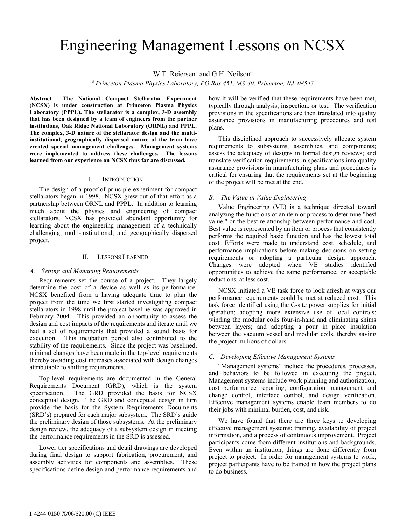# Engineering Management Lessons on NCSX

W.T. Reiersen<sup>a</sup> and G.H. Neilson<sup>a</sup>

<sup>a</sup> Princeton Plasma Physics Laboratory, PO Box 451, MS-40, Princeton, NJ 08543

**Abstract— The National Compact Stellarator Experiment (NCSX) is under construction at Princeton Plasma Physics Laboratory (PPPL). The stellarator is a complex, 3-D assembly that has been designed by a team of engineers from the partner institutions, Oak Ridge National Laboratory (ORNL) and PPPL. The complex, 3-D nature of the stellarator design and the multiinstitutional, geographically dispersed nature of the team have created special management challenges. Management systems were implemented to address these challenges. The lessons learned from our experience on NCSX thus far are discussed.** 

#### I. INTRODUCTION

The design of a proof-of-principle experiment for compact stellarators began in 1998. NCSX grew out of that effort as a partnership between ORNL and PPPL. In addition to learning much about the physics and engineering of compact stellarators, NCSX has provided abundant opportunity for learning about the engineering management of a technically challenging, multi-institutional, and geographically dispersed project.

#### II. LESSONS LEARNED

#### *A. Setting and Managing Requirements*

Requirements set the course of a project. They largely determine the cost of a device as well as its performance. NCSX benefited from a having adequate time to plan the project from the time we first started investigating compact stellarators in 1998 until the project baseline was approved in February 2004. This provided an opportunity to assess the design and cost impacts of the requirements and iterate until we had a set of requirements that provided a sound basis for execution. This incubation period also contributed to the stability of the requirements. Since the project was baselined, minimal changes have been made in the top-level requirements thereby avoiding cost increases associated with design changes attributable to shifting requirements.

Top-level requirements are documented in the General Requirements Document (GRD), which is the system specification. The GRD provided the basis for NCSX conceptual design. The GRD and conceptual design in turn provide the basis for the System Requirements Documents (SRD's) prepared for each major subsystem. The SRD's guide the preliminary design of those subsystems. At the preliminary design review, the adequacy of a subsystem design in meeting the performance requirements in the SRD is assessed.

Lower tier specifications and detail drawings are developed during final design to support fabrication, procurement, and assembly activities for components and assemblies. These specifications define design and performance requirements and how it will be verified that these requirements have been met, typically through analysis, inspection, or test. The verification provisions in the specifications are then translated into quality assurance provisions in manufacturing procedures and test plans.

This disciplined approach to successively allocate system requirements to subsystems, assemblies, and components; assess the adequacy of designs in formal design reviews; and translate verification requirements in specifications into quality assurance provisions in manufacturing plans and procedures is critical for ensuring that the requirements set at the beginning of the project will be met at the end.

#### *B. The Value in Value Engineering*

Value Engineering (VE) is a technique directed toward analyzing the functions of an item or process to determine "best value," or the best relationship between performance and cost. Best value is represented by an item or process that consistently performs the required basic function and has the lowest total cost. Efforts were made to understand cost, schedule, and performance implications before making decisions on setting requirements or adopting a particular design approach. Changes were adopted when VE studies identified opportunities to achieve the same performance, or acceptable reductions, at less cost.

NCSX initiated a VE task force to look afresh at ways our performance requirements could be met at reduced cost. This task force identified using the C-site power supplies for initial operation; adopting more extensive use of local controls; winding the modular coils four-in-hand and eliminating shims between layers; and adopting a pour in place insulation between the vacuum vessel and modular coils, thereby saving the project millions of dollars.

## *C. Developing Effective Management Systems*

"Management systems" include the procedures, processes, and behaviors to be followed in executing the project. Management systems include work planning and authorization, cost performance reporting, configuration management and change control, interface control, and design verification. Effective management systems enable team members to do their jobs with minimal burden, cost, and risk.

We have found that there are three keys to developing effective management systems: training, availability of project information, and a process of continuous improvement. Project participants come from different institutions and backgrounds. Even within an institution, things are done differently from project to project. In order for management systems to work, project participants have to be trained in how the project plans to do business.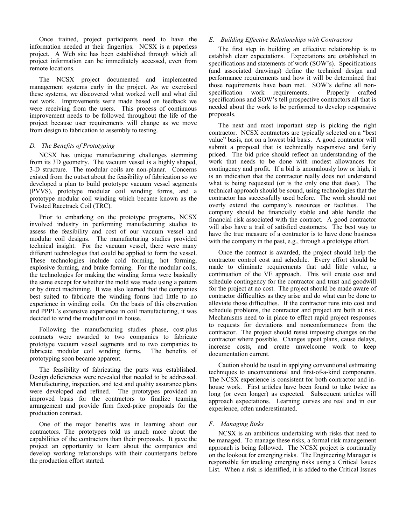Once trained, project participants need to have the information needed at their fingertips. NCSX is a paperless project. A Web site has been established through which all project information can be immediately accessed, even from remote locations.

The NCSX project documented and implemented management systems early in the project. As we exercised these systems, we discovered what worked well and what did not work. Improvements were made based on feedback we were receiving from the users. This process of continuous improvement needs to be followed throughout the life of the project because user requirements will change as we move from design to fabrication to assembly to testing.

# *D. The Benefits of Prototyping*

NCSX has unique manufacturing challenges stemming from its 3D geometry. The vacuum vessel is a highly shaped, 3-D structure. The modular coils are non-planar. Concerns existed from the outset about the feasibility of fabrication so we developed a plan to build prototype vacuum vessel segments (PVVS), prototype modular coil winding forms, and a prototype modular coil winding which became known as the Twisted Racetrack Coil (TRC).

Prior to embarking on the prototype programs, NCSX involved industry in performing manufacturing studies to assess the feasibility and cost of our vacuum vessel and modular coil designs. The manufacturing studies provided technical insight. For the vacuum vessel, there were many different technologies that could be applied to form the vessel. These technologies include cold forming, hot forming, explosive forming, and brake forming. For the modular coils, the technologies for making the winding forms were basically the same except for whether the mold was made using a pattern or by direct machining. It was also learned that the companies best suited to fabricate the winding forms had little to no experience in winding coils. On the basis of this observation and PPPL's extensive experience in coil manufacturing, it was decided to wind the modular coil in house.

Following the manufacturing studies phase, cost-plus contracts were awarded to two companies to fabricate prototype vacuum vessel segments and to two companies to fabricate modular coil winding forms. The benefits of prototyping soon became apparent.

The feasibility of fabricating the parts was established. Design deficiencies were revealed that needed to be addressed. Manufacturing, inspection, and test and quality assurance plans were developed and refined. The prototypes provided an improved basis for the contractors to finalize teaming arrangement and provide firm fixed-price proposals for the production contract.

One of the major benefits was in learning about our contractors. The prototypes told us much more about the capabilities of the contractors than their proposals. It gave the project an opportunity to learn about the companies and develop working relationships with their counterparts before the production effort started.

## *E. Building Effective Relationships with Contractors*

The first step in building an effective relationship is to establish clear expectations. Expectations are established in specifications and statements of work (SOW's). Specifications (and associated drawings) define the technical design and performance requirements and how it will be determined that those requirements have been met. SOW's define all nonspecification work requirements. Properly crafted specifications and SOW's tell prospective contractors all that is needed about the work to be performed to develop responsive proposals.

The next and most important step is picking the right contractor. NCSX contractors are typically selected on a "best value" basis, not on a lowest bid basis. A good contractor will submit a proposal that is technically responsive and fairly priced. The bid price should reflect an understanding of the work that needs to be done with modest allowances for contingency and profit. If a bid is anomalously low or high, it is an indication that the contractor really does not understand what is being requested (or is the only one that does). The technical approach should be sound, using technologies that the contractor has successfully used before. The work should not overly extend the company's resources or facilities. The company should be financially stable and able handle the financial risk associated with the contract. A good contractor will also have a trail of satisfied customers. The best way to have the true measure of a contractor is to have done business with the company in the past, e.g., through a prototype effort.

Once the contract is awarded, the project should help the contractor control cost and schedule. Every effort should be made to eliminate requirements that add little value, a continuation of the VE approach. This will create cost and schedule contingency for the contractor and trust and goodwill for the project at no cost. The project should be made aware of contractor difficulties as they arise and do what can be done to alleviate those difficulties. If the contractor runs into cost and schedule problems, the contractor and project are both at risk. Mechanisms need to in place to effect rapid project responses to requests for deviations and nonconformances from the contractor. The project should resist imposing changes on the contractor where possible. Changes upset plans, cause delays, increase costs, and create unwelcome work to keep documentation current.

Caution should be used in applying conventional estimating techniques to unconventional and first-of-a-kind components. The NCSX experience is consistent for both contractor and inhouse work. First articles have been found to take twice as long (or even longer) as expected. Subsequent articles will approach expectations. Learning curves are real and in our experience, often underestimated.

#### *F. Managing Risks*

NCSX is an ambitious undertaking with risks that need to be managed. To manage these risks, a formal risk management approach is being followed. The NCSX project is continually on the lookout for emerging risks. The Engineering Manager is responsible for tracking emerging risks using a Critical Issues List. When a risk is identified, it is added to the Critical Issues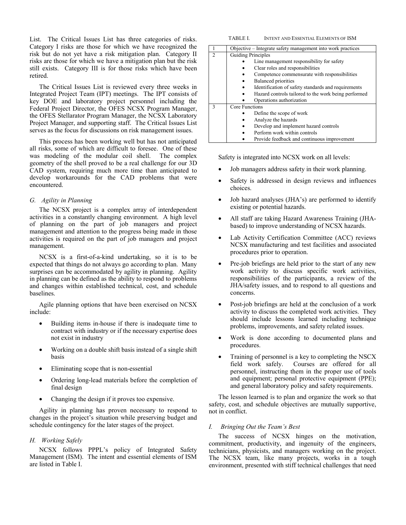List. The Critical Issues List has three categories of risks. Category I risks are those for which we have recognized the risk but do not yet have a risk mitigation plan. Category II risks are those for which we have a mitigation plan but the risk still exists. Category III is for those risks which have been retired.

The Critical Issues List is reviewed every three weeks in Integrated Project Team (IPT) meetings. The IPT consists of key DOE and laboratory project personnel including the Federal Project Director, the OFES NCSX Program Manager, the OFES Stellarator Program Manager, the NCSX Laboratory Project Manager, and supporting staff. The Critical Issues List serves as the focus for discussions on risk management issues.

This process has been working well but has not anticipated all risks, some of which are difficult to foresee. One of these was modeling of the modular coil shell. The complex geometry of the shell proved to be a real challenge for our 3D CAD system, requiring much more time than anticipated to develop workarounds for the CAD problems that were encountered.

## *G. Agility in Planning*

The NCSX project is a complex array of interdependent activities in a constantly changing environment. A high level of planning on the part of job managers and project management and attention to the progress being made in those activities is required on the part of job managers and project management.

NCSX is a first-of-a-kind undertaking, so it is to be expected that things do not always go according to plan. Many surprises can be accommodated by agility in planning. Agility in planning can be defined as the ability to respond to problems and changes within established technical, cost, and schedule baselines.

Agile planning options that have been exercised on NCSX include:

- Building items in-house if there is inadequate time to contract with industry or if the necessary expertise does not exist in industry
- Working on a double shift basis instead of a single shift basis
- Eliminating scope that is non-essential
- Ordering long-lead materials before the completion of final design
- Changing the design if it proves too expensive.

Agility in planning has proven necessary to respond to changes in the project's situation while preserving budget and schedule contingency for the later stages of the project.

# *H. Working Safely*

NCSX follows PPPL's policy of Integrated Safety Management (ISM). The intent and essential elements of ISM are listed in Table I.

#### TABLE I. INTENT AND ESSENTIAL ELEMENTS OF ISM

|   | Objective – Integrate safety management into work practices |
|---|-------------------------------------------------------------|
|   | <b>Guiding Principles</b>                                   |
|   | Line management responsibility for safety                   |
|   | Clear roles and responsibilities                            |
|   | Competence commensurate with responsibilities               |
|   | <b>Balanced</b> priorities                                  |
|   | Identification of safety standards and requirements         |
|   | Hazard controls tailored to the work being performed        |
|   | Operations authorization                                    |
| ٩ | Core Functions                                              |
|   | Define the scope of work                                    |
|   | Analyze the hazards                                         |
|   | Develop and implement hazard controls                       |
|   | Perform work within controls                                |
|   | Provide feedback and continuous improvement                 |

Safety is integrated into NCSX work on all levels:

- Job managers address safety in their work planning.
- Safety is addressed in design reviews and influences choices.
- Job hazard analyses (JHA's) are performed to identify existing or potential hazards.
- All staff are taking Hazard Awareness Training (JHAbased) to improve understanding of NCSX hazards.
- Lab Activity Certification Committee (ACC) reviews NCSX manufacturing and test facilities and associated procedures prior to operation.
- Pre-job briefings are held prior to the start of any new work activity to discuss specific work activities, responsibilities of the participants, a review of the JHA/safety issues, and to respond to all questions and concerns.
- Post-job briefings are held at the conclusion of a work activity to discuss the completed work activities. They should include lessons learned including technique problems, improvements, and safety related issues.
- Work is done according to documented plans and procedures.
- Training of personnel is a key to completing the NSCX field work safely. Courses are offered for all personnel, instructing them in the proper use of tools and equipment; personal protective equipment (PPE); and general laboratory policy and safety requirements.

The lesson learned is to plan and organize the work so that safety, cost, and schedule objectives are mutually supportive, not in conflict.

# *I. Bringing Out the Team's Best*

The success of NCSX hinges on the motivation, commitment, productivity, and ingenuity of the engineers, technicians, physicists, and managers working on the project. The NCSX team, like many projects, works in a tough environment, presented with stiff technical challenges that need